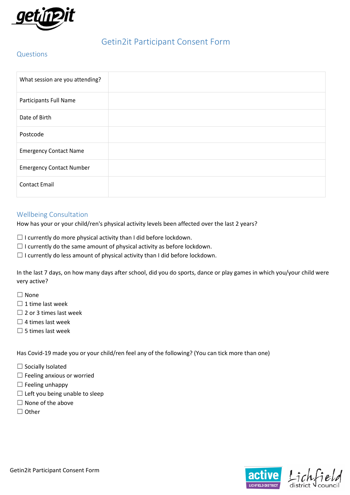

# Getin2it Participant Consent Form

# Questions

| What session are you attending? |  |
|---------------------------------|--|
| Participants Full Name          |  |
| Date of Birth                   |  |
| Postcode                        |  |
| <b>Emergency Contact Name</b>   |  |
| <b>Emergency Contact Number</b> |  |
| <b>Contact Email</b>            |  |

# Wellbeing Consultation

How has your or your child/ren's physical activity levels been affected over the last 2 years?

 $\Box$  I currently do more physical activity than I did before lockdown.

 $\Box$  I currently do the same amount of physical activity as before lockdown.

 $\Box$  I currently do less amount of physical activity than I did before lockdown.

In the last 7 days, on how many days after school, did you do sports, dance or play games in which you/your child were very active?

- ☐ None
- $\Box$  1 time last week
- $\Box$  2 or 3 times last week
- $\Box$  4 times last week
- $\Box$  5 times last week

Has Covid-19 made you or your child/ren feel any of the following? (You can tick more than one)

 $\Box$  Socially Isolated

- □ Feeling anxious or worried
- $\Box$  Feeling unhappy
- $\Box$  Left you being unable to sleep
- $\Box$  None of the above
- ☐ Other

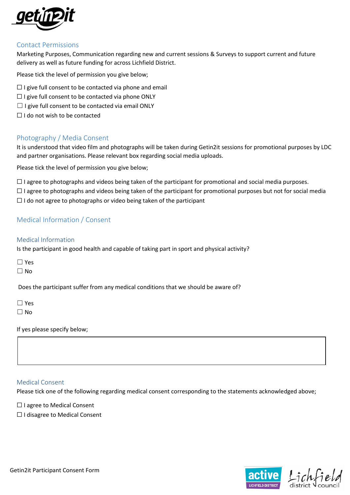

### Contact Permissions

Marketing Purposes, Communication regarding new and current sessions & Surveys to support current and future delivery as well as future funding for across Lichfield District.

Please tick the level of permission you give below;

- $\Box$  I give full consent to be contacted via phone and email
- $\Box$  I give full consent to be contacted via phone ONLY
- $\Box$  I give full consent to be contacted via email ONLY
- □ I do not wish to be contacted

# Photography / Media Consent

It is understood that video film and photographs will be taken during Getin2it sessions for promotional purposes by LDC and partner organisations. Please relevant box regarding social media uploads.

Please tick the level of permission you give below;

☐ I agree to photographs and videos being taken of the participant for promotional and social media purposes.

 $\Box$  I agree to photographs and videos being taken of the participant for promotional purposes but not for social media  $\Box$  I do not agree to photographs or video being taken of the participant

# Medical Information / Consent

#### Medical Information

Is the participant in good health and capable of taking part in sport and physical activity?

☐ No

Does the participant suffer from any medical conditions that we should be aware of?

| v<br>د       |
|--------------|
| ۹ł<br>n<br>N |

If yes please specify below;

#### Medical Consent

Please tick one of the following regarding medical consent corresponding to the statements acknowledged above;

□ I agree to Medical Consent

☐ I disagree to Medical Consent